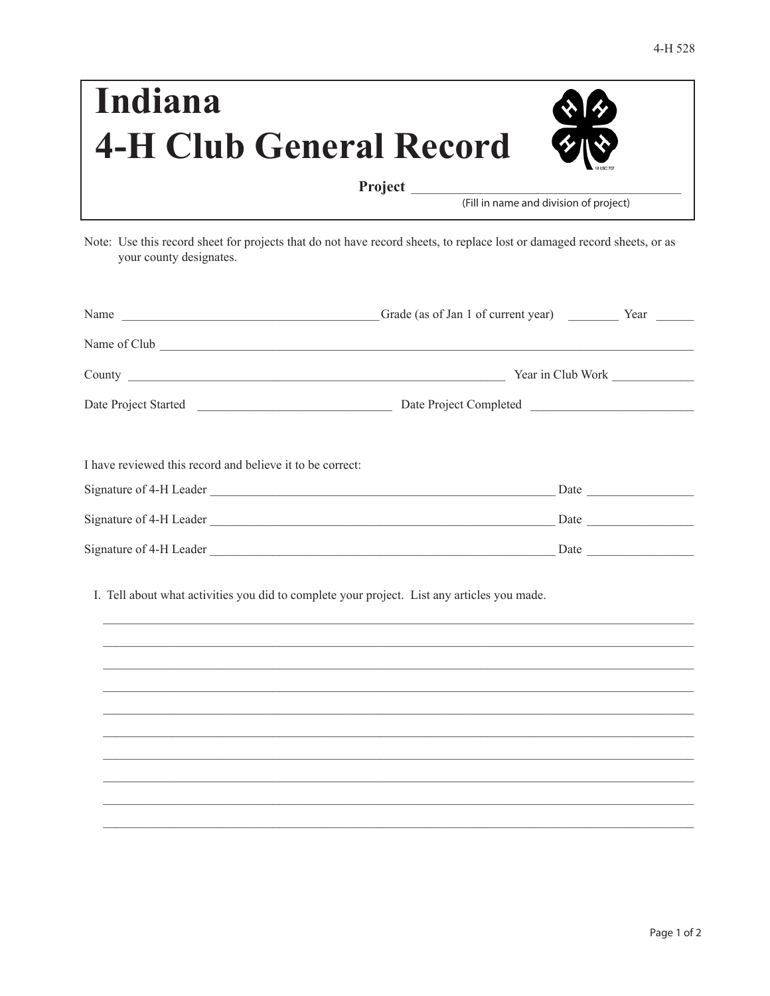| Indiana                        | 公经                                     |
|--------------------------------|----------------------------------------|
| <b>4-H Club General Record</b> | 多心                                     |
| <b>Project</b>                 | (Fill in name and division of project) |

Note: Use this record sheet for projects that do not have record sheets, to replace lost or damaged record sheets, or as your county designates.

|                                                           |                                                                                             | Year in Club Work |  |
|-----------------------------------------------------------|---------------------------------------------------------------------------------------------|-------------------|--|
|                                                           |                                                                                             |                   |  |
| I have reviewed this record and believe it to be correct: |                                                                                             |                   |  |
|                                                           |                                                                                             |                   |  |
|                                                           |                                                                                             |                   |  |
|                                                           |                                                                                             |                   |  |
|                                                           | I. Tell about what activities you did to complete your project. List any articles you made. |                   |  |
|                                                           |                                                                                             |                   |  |
|                                                           | ,我们也不能在这里的时候,我们也不能在这里的时候,我们也不能会在这里的时候,我们也不能会在这里的时候,我们也不能会在这里的时候,我们也不能会在这里的时候,我们也不           |                   |  |
|                                                           |                                                                                             |                   |  |
|                                                           |                                                                                             |                   |  |
|                                                           |                                                                                             |                   |  |
|                                                           |                                                                                             |                   |  |